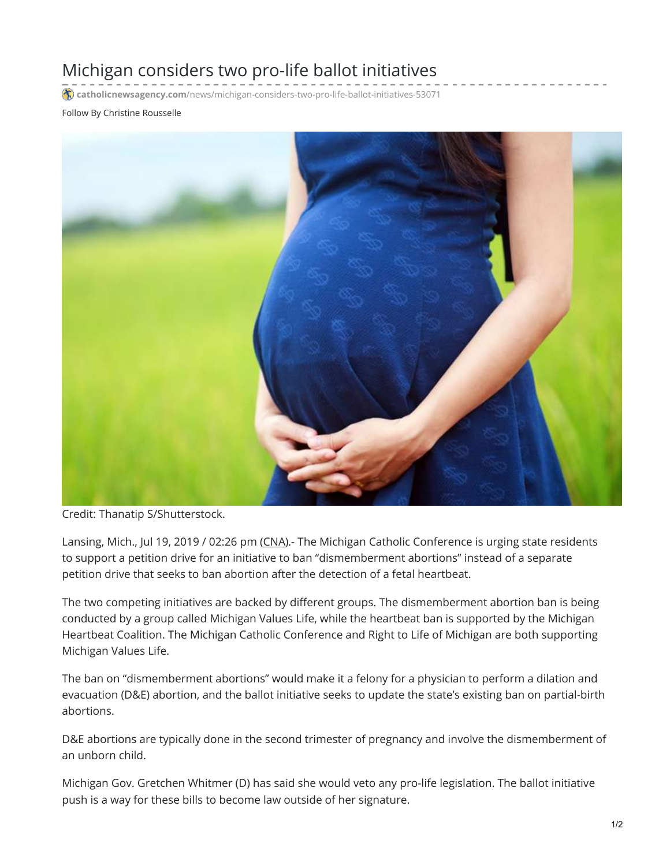## Michigan considers two pro-life ballot initiatives

**catholicnewsagency.com**[/news/michigan-considers-two-pro-life-ballot-initiatives-53071](https://www.catholicnewsagency.com/news/michigan-considers-two-pro-life-ballot-initiatives-53071)

## Follow By Christine Rousselle



Credit: Thanatip S/Shutterstock.

Lansing, Mich., Jul 19, 2019 / 02:26 pm [\(CNA](https://www.catholicnewsagency.com/)).- The Michigan Catholic Conference is urging state residents to support a petition drive for an initiative to ban "dismemberment abortions" instead of a separate petition drive that seeks to ban abortion after the detection of a fetal heartbeat.

The two competing initiatives are backed by different groups. The dismemberment abortion ban is being conducted by a group called Michigan Values Life, while the heartbeat ban is supported by the Michigan Heartbeat Coalition. The Michigan Catholic Conference and Right to Life of Michigan are both supporting Michigan Values Life.

The ban on "dismemberment abortions" would make it a felony for a physician to perform a dilation and evacuation (D&E) abortion, and the ballot initiative seeks to update the state's existing ban on partial-birth abortions.

D&E abortions are typically done in the second trimester of pregnancy and involve the dismemberment of an unborn child.

Michigan Gov. Gretchen Whitmer (D) has said she would veto any pro-life legislation. The ballot initiative push is a way for these bills to become law outside of her signature.